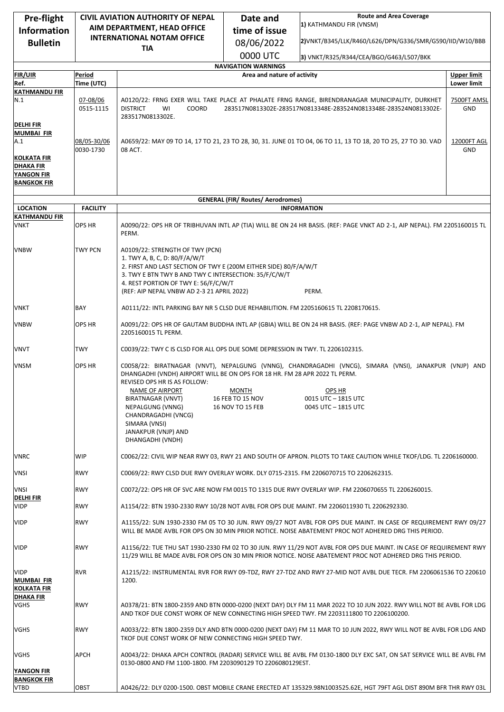| Pre-flight                                             | CIVIL AVIATION AUTHORITY OF NEPAL                                                          |                                                                                                                                                                                                                                                           | Date and                                                  | <b>Route and Area Coverage</b>                                                                                                                                                                                                 |                    |
|--------------------------------------------------------|--------------------------------------------------------------------------------------------|-----------------------------------------------------------------------------------------------------------------------------------------------------------------------------------------------------------------------------------------------------------|-----------------------------------------------------------|--------------------------------------------------------------------------------------------------------------------------------------------------------------------------------------------------------------------------------|--------------------|
| <b>Information</b>                                     | AIM DEPARTMENT, HEAD OFFICE                                                                |                                                                                                                                                                                                                                                           | time of issue                                             | 1) KATHMANDU FIR (VNSM)                                                                                                                                                                                                        |                    |
| <b>Bulletin</b>                                        | <b>INTERNATIONAL NOTAM OFFICE</b>                                                          |                                                                                                                                                                                                                                                           | 08/06/2022                                                | 2)VNKT/B345/LLK/R460/L626/DPN/G336/SMR/G590/IID/W10/BBB                                                                                                                                                                        |                    |
|                                                        |                                                                                            | <b>TIA</b>                                                                                                                                                                                                                                                |                                                           |                                                                                                                                                                                                                                |                    |
|                                                        |                                                                                            |                                                                                                                                                                                                                                                           | 0000 UTC                                                  | 3) VNKT/R325/R344/CEA/BGO/G463/L507/BKK                                                                                                                                                                                        |                    |
| <b>FIR/UIR</b>                                         | Period                                                                                     |                                                                                                                                                                                                                                                           | <b>NAVIGATION WARNINGS</b><br>Area and nature of activity |                                                                                                                                                                                                                                | <b>Upper limit</b> |
| Ref.                                                   | Time (UTC)                                                                                 |                                                                                                                                                                                                                                                           |                                                           |                                                                                                                                                                                                                                | Lower limit        |
| <b>KATHMANDU FIR</b>                                   |                                                                                            |                                                                                                                                                                                                                                                           |                                                           |                                                                                                                                                                                                                                |                    |
| N.1<br><b>DELHI FIR</b>                                | 07-08/06<br>0515-1115                                                                      | A0120/22: FRNG EXER WILL TAKE PLACE AT PHALATE FRNG RANGE, BIRENDRANAGAR MUNICIPALITY, DURKHET<br><b>DISTRICT</b><br>COORD<br>283517N0813302E-283517N0813348E-283524N0813348E-283524N0813302E-<br>WI<br>283517N0813302E.                                  |                                                           |                                                                                                                                                                                                                                | 7500FT AMSL<br>GND |
| <b>MUMBAI FIR</b><br>A.1                               | 08/05-30/06                                                                                |                                                                                                                                                                                                                                                           |                                                           | A0659/22: MAY 09 TO 14, 17 TO 21, 23 TO 28, 30, 31. JUNE 01 TO 04, 06 TO 11, 13 TO 18, 20 TO 25, 27 TO 30. VAD                                                                                                                 | 12000FT AGL        |
| KOLKATA FIR                                            | 0030-1730                                                                                  | 08 ACT.                                                                                                                                                                                                                                                   |                                                           |                                                                                                                                                                                                                                | <b>GND</b>         |
| <b>DHAKA FIR</b><br><b>YANGON FIR</b>                  |                                                                                            |                                                                                                                                                                                                                                                           |                                                           |                                                                                                                                                                                                                                |                    |
| <b>BANGKOK FIR</b>                                     |                                                                                            |                                                                                                                                                                                                                                                           |                                                           |                                                                                                                                                                                                                                |                    |
|                                                        |                                                                                            |                                                                                                                                                                                                                                                           | <b>GENERAL (FIR/ Routes/ Aerodromes)</b>                  |                                                                                                                                                                                                                                |                    |
| <b>LOCATION</b>                                        | <b>FACILITY</b>                                                                            |                                                                                                                                                                                                                                                           |                                                           | <b>INFORMATION</b>                                                                                                                                                                                                             |                    |
| <b>KATHMANDU FIR</b>                                   |                                                                                            |                                                                                                                                                                                                                                                           |                                                           |                                                                                                                                                                                                                                |                    |
| <b>VNKT</b>                                            | OPS HR                                                                                     | PERM.                                                                                                                                                                                                                                                     |                                                           | A0090/22: OPS HR OF TRIBHUVAN INTL AP (TIA) WILL BE ON 24 HR BASIS. (REF: PAGE VNKT AD 2-1, AIP NEPAL). FM 2205160015 TL                                                                                                       |                    |
| <b>VNBW</b>                                            | TWY PCN                                                                                    | A0109/22: STRENGTH OF TWY (PCN)                                                                                                                                                                                                                           |                                                           |                                                                                                                                                                                                                                |                    |
|                                                        |                                                                                            | 1. TWY A, B, C, D: 80/F/A/W/T<br>2. FIRST AND LAST SECTION OF TWY E (200M EITHER SIDE) 80/F/A/W/T                                                                                                                                                         |                                                           |                                                                                                                                                                                                                                |                    |
|                                                        |                                                                                            | 3. TWY E BTN TWY B AND TWY C INTERSECTION: 35/F/C/W/T<br>4. REST PORTION OF TWY E: 56/F/C/W/T                                                                                                                                                             |                                                           |                                                                                                                                                                                                                                |                    |
|                                                        |                                                                                            | (REF: AIP NEPAL VNBW AD 2-3 21 APRIL 2022)                                                                                                                                                                                                                |                                                           | PERM.                                                                                                                                                                                                                          |                    |
| <b>VNKT</b>                                            | BAY                                                                                        | A0111/22: INTL PARKING BAY NR 5 CLSD DUE REHABILITION. FM 2205160615 TL 2208170615.                                                                                                                                                                       |                                                           |                                                                                                                                                                                                                                |                    |
| <b>VNBW</b>                                            | OPS HR                                                                                     | A0091/22: OPS HR OF GAUTAM BUDDHA INTL AP (GBIA) WILL BE ON 24 HR BASIS. (REF: PAGE VNBW AD 2-1, AIP NEPAL). FM<br>2205160015 TL PERM.                                                                                                                    |                                                           |                                                                                                                                                                                                                                |                    |
| <b>VNVT</b>                                            | TWY                                                                                        | C0039/22: TWY C IS CLSD FOR ALL OPS DUE SOME DEPRESSION IN TWY. TL 2206102315.                                                                                                                                                                            |                                                           |                                                                                                                                                                                                                                |                    |
| <b>VNSM</b>                                            | <b>OPS HR</b>                                                                              | DHANGADHI (VNDH) AIRPORT WILL BE ON OPS FOR 18 HR. FM 28 APR 2022 TL PERM.<br>REVISED OPS HR IS AS FOLLOW:<br>NAME OF AIRPORT<br>BIRATNAGAR (VNVT)<br>NEPALGUNG (VNNG)<br>CHANDRAGADHI (VNCG)<br>SIMARA (VNSI)<br>JANAKPUR (VNJP) AND<br>DHANGADHI (VNDH) | <b>MONTH</b><br>16 FEB TO 15 NOV<br>16 NOV TO 15 FEB      | C0058/22: BIRATNAGAR (VNVT), NEPALGUNG (VNNG), CHANDRAGADHI (VNCG), SIMARA (VNSI), JANAKPUR (VNJP) AND<br>OPS HR<br>0015 UTC - 1815 UTC<br>0045 UTC - 1815 UTC                                                                 |                    |
| <b>VNRC</b>                                            | <b>WIP</b>                                                                                 | C0062/22: CIVIL WIP NEAR RWY 03, RWY 21 AND SOUTH OF APRON. PILOTS TO TAKE CAUTION WHILE TKOF/LDG. TL 2206160000.                                                                                                                                         |                                                           |                                                                                                                                                                                                                                |                    |
| <b>VNSI</b>                                            | <b>RWY</b>                                                                                 | C0069/22: RWY CLSD DUE RWY OVERLAY WORK. DLY 0715-2315. FM 2206070715 TO 2206262315.                                                                                                                                                                      |                                                           |                                                                                                                                                                                                                                |                    |
| <b>VNSI</b>                                            | <b>RWY</b>                                                                                 |                                                                                                                                                                                                                                                           |                                                           | C0072/22: OPS HR OF SVC ARE NOW FM 0015 TO 1315 DUE RWY OVERLAY WIP. FM 2206070655 TL 2206260015.                                                                                                                              |                    |
| <b>DELHI FIR</b><br><b>VIDP</b>                        | <b>RWY</b>                                                                                 |                                                                                                                                                                                                                                                           |                                                           |                                                                                                                                                                                                                                |                    |
|                                                        | A1154/22: BTN 1930-2330 RWY 10/28 NOT AVBL FOR OPS DUE MAINT. FM 2206011930 TL 2206292330. |                                                                                                                                                                                                                                                           |                                                           |                                                                                                                                                                                                                                |                    |
| <b>VIDP</b>                                            | <b>RWY</b>                                                                                 |                                                                                                                                                                                                                                                           |                                                           | A1155/22: SUN 1930-2330 FM 05 TO 30 JUN. RWY 09/27 NOT AVBL FOR OPS DUE MAINT. IN CASE OF REQUIREMENT RWY 09/27<br>WILL BE MADE AVBL FOR OPS ON 30 MIN PRIOR NOTICE. NOISE ABATEMENT PROC NOT ADHERED DRG THIS PERIOD.         |                    |
| <b>VIDP</b>                                            | <b>RWY</b>                                                                                 |                                                                                                                                                                                                                                                           |                                                           | A1156/22: TUE THU SAT 1930-2330 FM 02 TO 30 JUN. RWY 11/29 NOT AVBL FOR OPS DUE MAINT. IN CASE OF REQUIREMENT RWY<br>11/29 WILL BE MADE AVBL FOR OPS ON 30 MIN PRIOR NOTICE. NOISE ABATEMENT PROC NOT ADHERED DRG THIS PERIOD. |                    |
| <b>VIDP</b><br><b>MUMBAI FIR</b><br><b>KOLKATA FIR</b> | <b>RVR</b>                                                                                 | 1200.                                                                                                                                                                                                                                                     |                                                           | A1215/22: INSTRUMENTAL RVR FOR RWY 09-TDZ, RWY 27-TDZ AND RWY 27-MID NOT AVBL DUE TECR. FM 2206061536 TO 220610                                                                                                                |                    |
| <b>DHAKA FIR</b><br>VGHS                               | <b>RWY</b>                                                                                 |                                                                                                                                                                                                                                                           |                                                           | A0378/21: BTN 1800-2359 AND BTN 0000-0200 (NEXT DAY) DLY FM 11 MAR 2022 TO 10 JUN 2022. RWY WILL NOT BE AVBL FOR LDG<br>AND TKOF DUE CONST WORK OF NEW CONNECTING HIGH SPEED TWY. FM 2203111800 TO 2206100200.                 |                    |
| <b>VGHS</b>                                            | <b>RWY</b>                                                                                 | A0033/22: BTN 1800-2359 DLY AND BTN 0000-0200 (NEXT DAY) FM 11 MAR TO 10 JUN 2022, RWY WILL NOT BE AVBL FOR LDG AND<br>TKOF DUE CONST WORK OF NEW CONNECTING HIGH SPEED TWY.                                                                              |                                                           |                                                                                                                                                                                                                                |                    |
| VGHS                                                   | <b>APCH</b>                                                                                | A0043/22: DHAKA APCH CONTROL (RADAR) SERVICE WILL BE AVBL FM 0130-1800 DLY EXC SAT, ON SAT SERVICE WILL BE AVBL FM<br>0130-0800 AND FM 1100-1800. FM 2203090129 TO 2206080129EST.                                                                         |                                                           |                                                                                                                                                                                                                                |                    |
| <b>YANGON FIR</b><br><b>BANGKOK FIR</b>                |                                                                                            |                                                                                                                                                                                                                                                           |                                                           |                                                                                                                                                                                                                                |                    |
| <b>VTBD</b>                                            | <b>OBST</b>                                                                                |                                                                                                                                                                                                                                                           |                                                           | A0426/22: DLY 0200-1500. OBST MOBILE CRANE ERECTED AT 135329.98N1003525.62E, HGT 79FT AGL DIST 890M BFR THR RWY 03L                                                                                                            |                    |